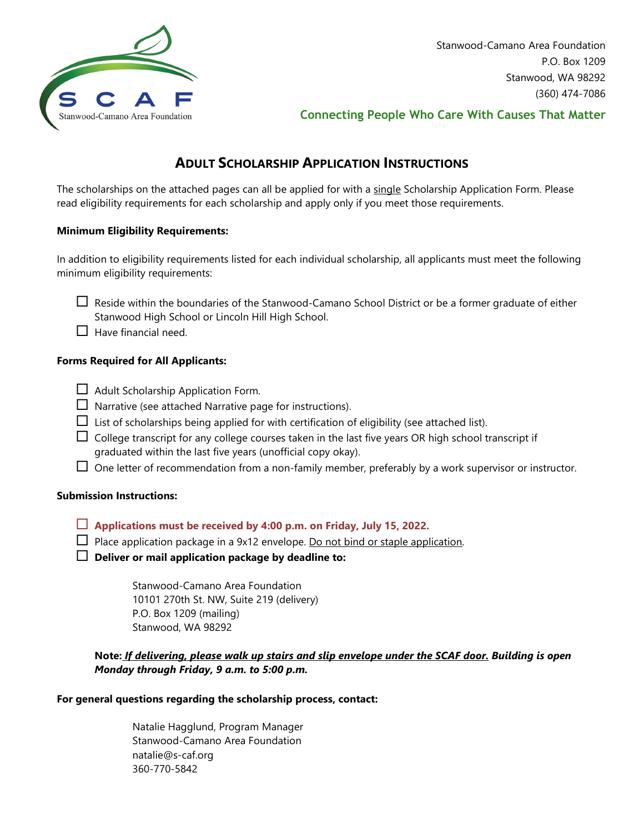

Stanwood-Camano Area Foundation P.O. Box 1209 Stanwood, WA 98292 (360) 474-7086

### **Connecting People Who Care With Causes That Matter**

## **ADULT SCHOLARSHIP APPLICATION INSTRUCTIONS**

The scholarships on the attached pages can all be applied for with a single Scholarship Application Form. Please read eligibility requirements for each scholarship and apply only if you meet those requirements.

#### **Minimum Eligibility Requirements:**

In addition to eligibility requirements listed for each individual scholarship, all applicants must meet the following minimum eligibility requirements:

- $\Box$  Reside within the boundaries of the Stanwood-Camano School District or be a former graduate of either Stanwood High School or Lincoln Hill High School.
- $\Box$  Have financial need.

#### **Forms Required for All Applicants:**

- $\Box$  Adult Scholarship Application Form.
- $\Box$  Narrative (see attached Narrative page for instructions).
- $\Box$  List of scholarships being applied for with certification of eligibility (see attached list).
- $\Box$  College transcript for any college courses taken in the last five years OR high school transcript if graduated within the last five years (unofficial copy okay).
- $\Box$  One letter of recommendation from a non-family member, preferably by a work supervisor or instructor.

#### **Submission Instructions:**

- **Applications must be received by 4:00 p.m. on Friday, July 15, 2022.**
- $\Box$  Place application package in a 9x12 envelope. Do not bind or staple application.
- **Deliver or mail application package by deadline to:**

Stanwood-Camano Area Foundation 10101 270th St. NW, Suite 219 (delivery) P.O. Box 1209 (mailing) Stanwood, WA 98292

### **Note:** *If delivering, please walk up stairs and slip envelope under the SCAF door. Building is open Monday through Friday, 9 a.m. to 5:00 p.m.*

#### **For general questions regarding the scholarship process, contact:**

Natalie Hagglund, Program Manager Stanwood-Camano Area Foundation natalie@s-caf.org 360-770-5842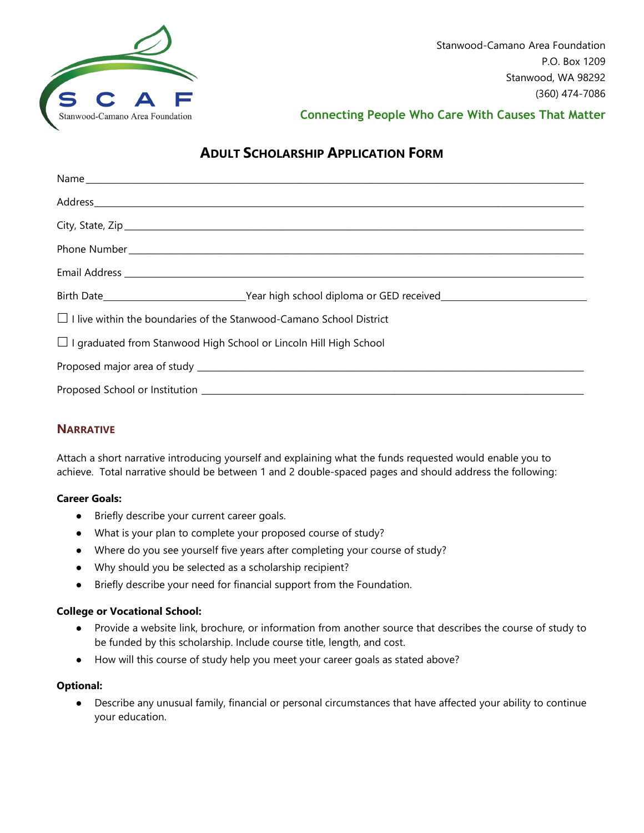

**Connecting People Who Care With Causes That Matter**

# **ADULT SCHOLARSHIP APPLICATION FORM**

| $\Box$ I live within the boundaries of the Stanwood-Camano School District |
|----------------------------------------------------------------------------|
| $\Box$ I graduated from Stanwood High School or Lincoln Hill High School   |
|                                                                            |
|                                                                            |

### **NARRATIVE**

Attach a short narrative introducing yourself and explaining what the funds requested would enable you to achieve. Total narrative should be between 1 and 2 double-spaced pages and should address the following:

#### **Career Goals:**

- Briefly describe your current career goals.
- What is your plan to complete your proposed course of study?
- Where do you see yourself five years after completing your course of study?
- Why should you be selected as a scholarship recipient?
- Briefly describe your need for financial support from the Foundation.

#### **College or Vocational School:**

- Provide a website link, brochure, or information from another source that describes the course of study to be funded by this scholarship. Include course title, length, and cost.
- How will this course of study help you meet your career goals as stated above?

#### **Optional:**

● Describe any unusual family, financial or personal circumstances that have affected your ability to continue your education.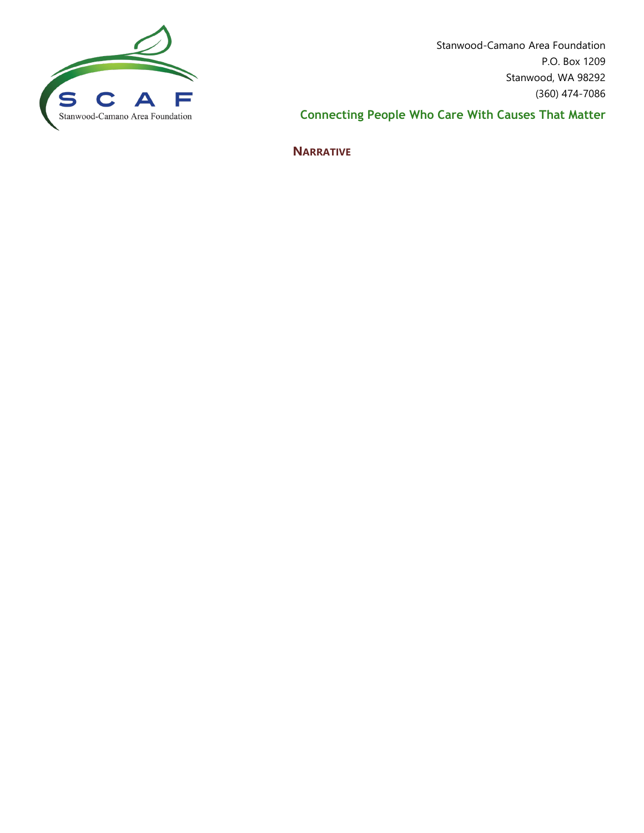

Stanwood-Camano Area Foundation P.O. Box 1209 Stanwood, WA 98292 (360) 474-7086

**Connecting People Who Care With Causes That Matter**

**NARRATIVE**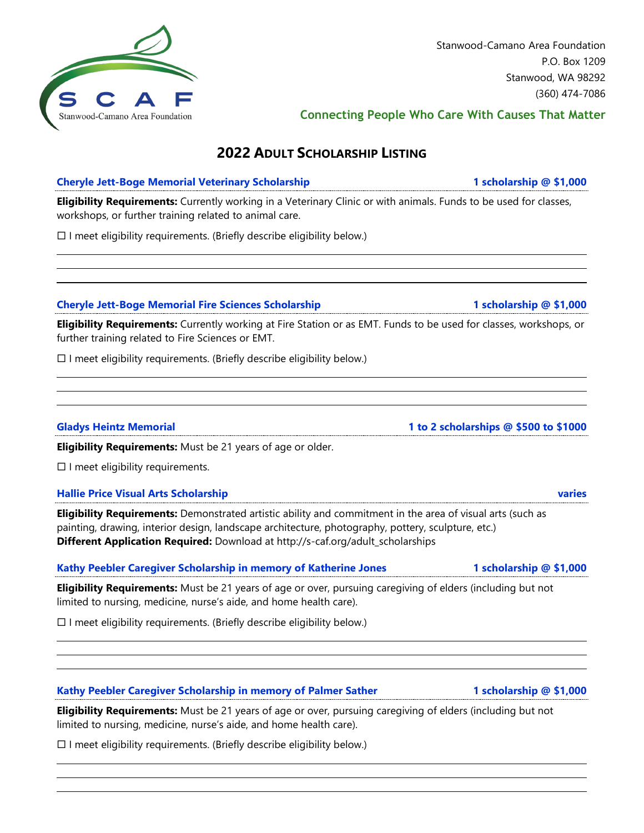Stanwood, WA 98292 (360) 474-7086

**Connecting People Who Care With Causes That Matter**

Stanwood-Camano Area Foundation

P.O. Box 1209

# **2022 ADULT SCHOLARSHIP LISTING**

### **Cheryle Jett-Boge Memorial Veterinary Scholarship 1 scholarship @ \$1,000**

**Eligibility Requirements:** Currently working in a Veterinary Clinic or with animals. Funds to be used for classes, workshops, or further training related to animal care.

 $\square$  I meet eligibility requirements. (Briefly describe eligibility below.)

### **Cheryle Jett-Boge Memorial Fire Sciences Scholarship 1 scholarship @ \$1,000**

**Eligibility Requirements:** Currently working at Fire Station or as EMT. Funds to be used for classes, workshops, or further training related to Fire Sciences or EMT.

 $\Box$  I meet eligibility requirements. (Briefly describe eligibility below.)

**Eligibility Requirements:** Must be 21 years of age or older.

 $\square$  I meet eligibility requirements.

#### **Hallie Price Visual Arts Scholarship varies**

**Eligibility Requirements:** Demonstrated artistic ability and commitment in the area of visual arts (such as painting, drawing, interior design, landscape architecture, photography, pottery, sculpture, etc.) **Different Application Required:** Download at http://s-caf.org/adult\_scholarships

### **Kathy Peebler Caregiver Scholarship in memory of Katherine Jones 1 scholarship @ \$1,000**

**Eligibility Requirements:** Must be 21 years of age or over, pursuing caregiving of elders (including but not limited to nursing, medicine, nurse's aide, and home health care).

 $\Box$  I meet eligibility requirements. (Briefly describe eligibility below.)

#### **Kathy Peebler Caregiver Scholarship in memory of Palmer Sather 1 scholarship @ \$1,000**

**Eligibility Requirements:** Must be 21 years of age or over, pursuing caregiving of elders (including but not limited to nursing, medicine, nurse's aide, and home health care).

 $\square$  I meet eligibility requirements. (Briefly describe eligibility below.)

#### **Gladys Heintz Memorial 1 to 2 scholarships @ \$500 to \$1000**

Stanwood-Camano Area Foundation